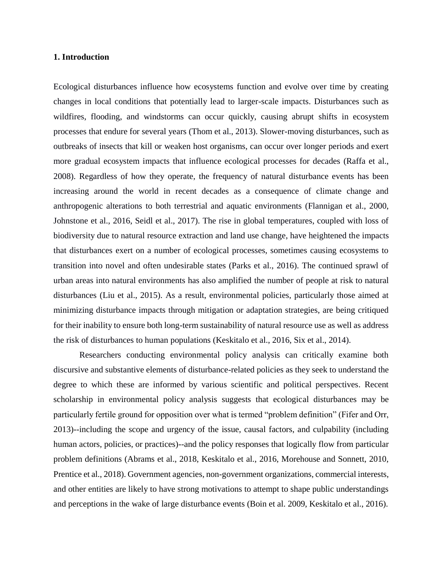### **1. Introduction**

Ecological disturbances influence how ecosystems function and evolve over time by creating changes in local conditions that potentially lead to larger-scale impacts. Disturbances such as wildfires, flooding, and windstorms can occur quickly, causing abrupt shifts in ecosystem processes that endure for several years (Thom et al., 2013). Slower-moving disturbances, such as outbreaks of insects that kill or weaken host organisms, can occur over longer periods and exert more gradual ecosystem impacts that influence ecological processes for decades (Raffa et al., 2008). Regardless of how they operate, the frequency of natural disturbance events has been increasing around the world in recent decades as a consequence of climate change and anthropogenic alterations to both terrestrial and aquatic environments (Flannigan et al., 2000, Johnstone et al., 2016, Seidl et al., 2017). The rise in global temperatures, coupled with loss of biodiversity due to natural resource extraction and land use change, have heightened the impacts that disturbances exert on a number of ecological processes, sometimes causing ecosystems to transition into novel and often undesirable states (Parks et al., 2016). The continued sprawl of urban areas into natural environments has also amplified the number of people at risk to natural disturbances (Liu et al., 2015). As a result, environmental policies, particularly those aimed at minimizing disturbance impacts through mitigation or adaptation strategies, are being critiqued for their inability to ensure both long-term sustainability of natural resource use as well as address the risk of disturbances to human populations (Keskitalo et al., 2016, Six et al., 2014).

Researchers conducting environmental policy analysis can critically examine both discursive and substantive elements of disturbance-related policies as they seek to understand the degree to which these are informed by various scientific and political perspectives. Recent scholarship in environmental policy analysis suggests that ecological disturbances may be particularly fertile ground for opposition over what is termed "problem definition" (Fifer and Orr, 2013)--including the scope and urgency of the issue, causal factors, and culpability (including human actors, policies, or practices)--and the policy responses that logically flow from particular problem definitions (Abrams et al., 2018, Keskitalo et al., 2016, Morehouse and Sonnett, 2010, Prentice et al., 2018). Government agencies, non-government organizations, commercial interests, and other entities are likely to have strong motivations to attempt to shape public understandings and perceptions in the wake of large disturbance events (Boin et al. 2009, Keskitalo et al., 2016).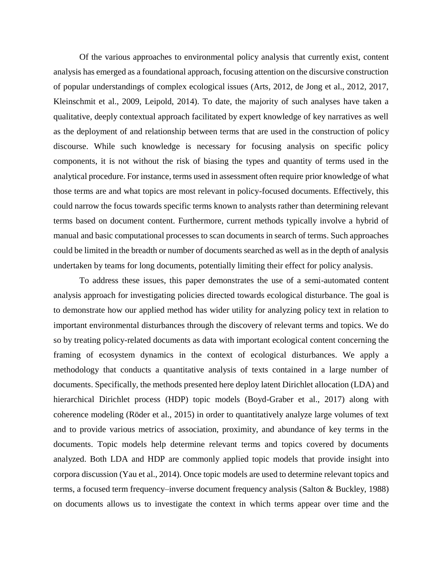Of the various approaches to environmental policy analysis that currently exist, content analysis has emerged as a foundational approach, focusing attention on the discursive construction of popular understandings of complex ecological issues (Arts, 2012, de Jong et al., 2012, 2017, Kleinschmit et al., 2009, Leipold, 2014). To date, the majority of such analyses have taken a qualitative, deeply contextual approach facilitated by expert knowledge of key narratives as well as the deployment of and relationship between terms that are used in the construction of policy discourse. While such knowledge is necessary for focusing analysis on specific policy components, it is not without the risk of biasing the types and quantity of terms used in the analytical procedure. For instance, terms used in assessment often require prior knowledge of what those terms are and what topics are most relevant in policy-focused documents. Effectively, this could narrow the focus towards specific terms known to analysts rather than determining relevant terms based on document content. Furthermore, current methods typically involve a hybrid of manual and basic computational processes to scan documents in search of terms. Such approaches could be limited in the breadth or number of documents searched as well as in the depth of analysis undertaken by teams for long documents, potentially limiting their effect for policy analysis.

To address these issues, this paper demonstrates the use of a semi-automated content analysis approach for investigating policies directed towards ecological disturbance. The goal is to demonstrate how our applied method has wider utility for analyzing policy text in relation to important environmental disturbances through the discovery of relevant terms and topics. We do so by treating policy-related documents as data with important ecological content concerning the framing of ecosystem dynamics in the context of ecological disturbances. We apply a methodology that conducts a quantitative analysis of texts contained in a large number of documents. Specifically, the methods presented here deploy latent Dirichlet allocation (LDA) and hierarchical Dirichlet process (HDP) topic models (Boyd-Graber et al., 2017) along with coherence modeling (Röder et al., 2015) in order to quantitatively analyze large volumes of text and to provide various metrics of association, proximity, and abundance of key terms in the documents. Topic models help determine relevant terms and topics covered by documents analyzed. Both LDA and HDP are commonly applied topic models that provide insight into corpora discussion (Yau et al., 2014). Once topic models are used to determine relevant topics and terms, a focused term frequency–inverse document frequency analysis (Salton & Buckley, 1988) on documents allows us to investigate the context in which terms appear over time and the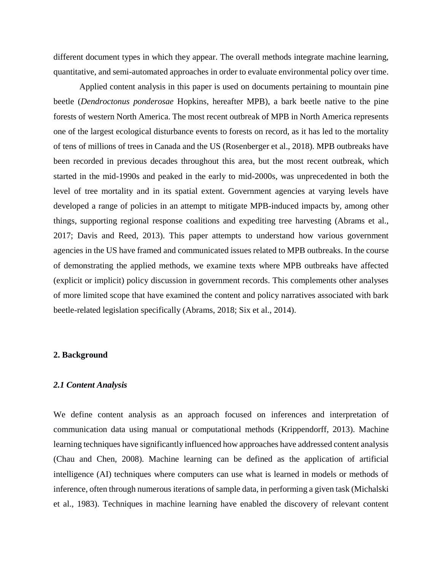different document types in which they appear. The overall methods integrate machine learning, quantitative, and semi-automated approaches in order to evaluate environmental policy over time.

Applied content analysis in this paper is used on documents pertaining to mountain pine beetle (*Dendroctonus ponderosae* Hopkins, hereafter MPB), a bark beetle native to the pine forests of western North America. The most recent outbreak of MPB in North America represents one of the largest ecological disturbance events to forests on record, as it has led to the mortality of tens of millions of trees in Canada and the US (Rosenberger et al., 2018). MPB outbreaks have been recorded in previous decades throughout this area, but the most recent outbreak, which started in the mid-1990s and peaked in the early to mid-2000s, was unprecedented in both the level of tree mortality and in its spatial extent. Government agencies at varying levels have developed a range of policies in an attempt to mitigate MPB-induced impacts by, among other things, supporting regional response coalitions and expediting tree harvesting (Abrams et al., 2017; Davis and Reed, 2013). This paper attempts to understand how various government agencies in the US have framed and communicated issues related to MPB outbreaks. In the course of demonstrating the applied methods, we examine texts where MPB outbreaks have affected (explicit or implicit) policy discussion in government records. This complements other analyses of more limited scope that have examined the content and policy narratives associated with bark beetle-related legislation specifically (Abrams, 2018; Six et al., 2014).

### **2. Background**

#### *2.1 Content Analysis*

We define content analysis as an approach focused on inferences and interpretation of communication data using manual or computational methods (Krippendorff, 2013). Machine learning techniques have significantly influenced how approaches have addressed content analysis (Chau and Chen, 2008). Machine learning can be defined as the application of artificial intelligence (AI) techniques where computers can use what is learned in models or methods of inference, often through numerous iterations of sample data, in performing a given task (Michalski et al., 1983). Techniques in machine learning have enabled the discovery of relevant content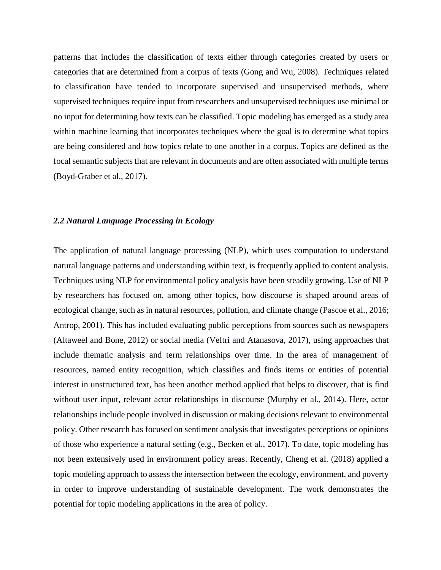patterns that includes the classification of texts either through categories created by users or categories that are determined from a corpus of texts (Gong and Wu, 2008). Techniques related to classification have tended to incorporate supervised and unsupervised methods, where supervised techniques require input from researchers and unsupervised techniques use minimal or no input for determining how texts can be classified. Topic modeling has emerged as a study area within machine learning that incorporates techniques where the goal is to determine what topics are being considered and how topics relate to one another in a corpus. Topics are defined as the focal semantic subjects that are relevant in documents and are often associated with multiple terms (Boyd-Graber et al., 2017).

## *2.2 Natural Language Processing in Ecology*

The application of natural language processing (NLP), which uses computation to understand natural language patterns and understanding within text, is frequently applied to content analysis. Techniques using NLP for environmental policy analysis have been steadily growing. Use of NLP by researchers has focused on, among other topics, how discourse is shaped around areas of ecological change, such as in natural resources, pollution, and climate change (Pascoe et al., 2016; Antrop, 2001). This has included evaluating public perceptions from sources such as newspapers (Altaweel and Bone, 2012) or social media (Veltri and Atanasova, 2017), using approaches that include thematic analysis and term relationships over time. In the area of management of resources, named entity recognition, which classifies and finds items or entities of potential interest in unstructured text, has been another method applied that helps to discover, that is find without user input, relevant actor relationships in discourse (Murphy et al., 2014). Here, actor relationships include people involved in discussion or making decisions relevant to environmental policy. Other research has focused on sentiment analysis that investigates perceptions or opinions of those who experience a natural setting (e.g., Becken et al., 2017). To date, topic modeling has not been extensively used in environment policy areas. Recently, Cheng et al. (2018) applied a topic modeling approach to assess the intersection between the ecology, environment, and poverty in order to improve understanding of sustainable development. The work demonstrates the potential for topic modeling applications in the area of policy.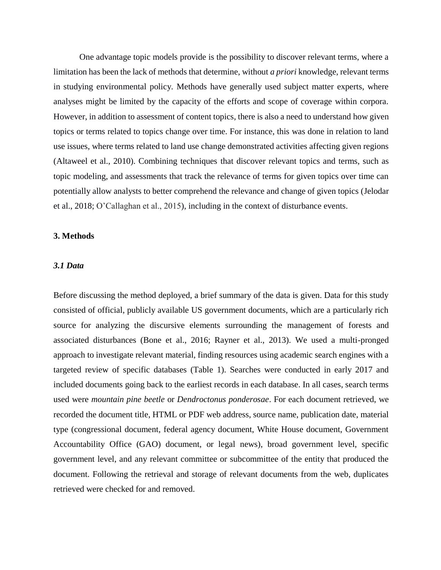One advantage topic models provide is the possibility to discover relevant terms, where a limitation has been the lack of methods that determine, without *a priori* knowledge, relevant terms in studying environmental policy. Methods have generally used subject matter experts, where analyses might be limited by the capacity of the efforts and scope of coverage within corpora. However, in addition to assessment of content topics, there is also a need to understand how given topics or terms related to topics change over time. For instance, this was done in relation to land use issues, where terms related to land use change demonstrated activities affecting given regions (Altaweel et al., 2010). Combining techniques that discover relevant topics and terms, such as topic modeling, and assessments that track the relevance of terms for given topics over time can potentially allow analysts to better comprehend the relevance and change of given topics (Jelodar et al., 2018; O'Callaghan et al., 2015), including in the context of disturbance events.

## **3. Methods**

## *3.1 Data*

Before discussing the method deployed, a brief summary of the data is given. Data for this study consisted of official, publicly available US government documents, which are a particularly rich source for analyzing the discursive elements surrounding the management of forests and associated disturbances (Bone et al., 2016; Rayner et al., 2013). We used a multi-pronged approach to investigate relevant material, finding resources using academic search engines with a targeted review of specific databases (Table 1). Searches were conducted in early 2017 and included documents going back to the earliest records in each database. In all cases, search terms used were *mountain pine beetle* or *Dendroctonus ponderosae*. For each document retrieved, we recorded the document title, HTML or PDF web address, source name, publication date, material type (congressional document, federal agency document, White House document, Government Accountability Office (GAO) document, or legal news), broad government level, specific government level, and any relevant committee or subcommittee of the entity that produced the document. Following the retrieval and storage of relevant documents from the web, duplicates retrieved were checked for and removed.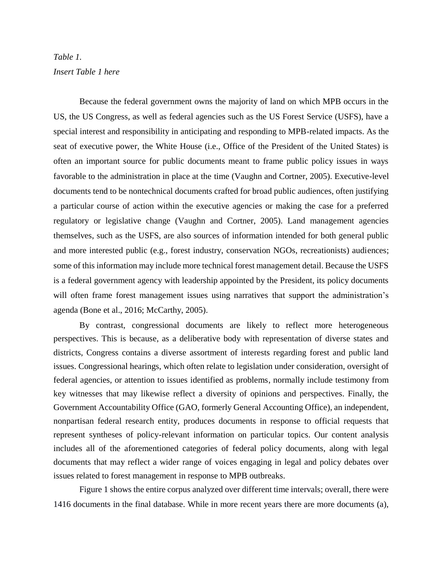# *Table 1. Insert Table 1 here*

Because the federal government owns the majority of land on which MPB occurs in the US, the US Congress, as well as federal agencies such as the US Forest Service (USFS), have a special interest and responsibility in anticipating and responding to MPB-related impacts. As the seat of executive power, the White House (i.e., Office of the President of the United States) is often an important source for public documents meant to frame public policy issues in ways favorable to the administration in place at the time (Vaughn and Cortner, 2005). Executive-level documents tend to be nontechnical documents crafted for broad public audiences, often justifying a particular course of action within the executive agencies or making the case for a preferred regulatory or legislative change (Vaughn and Cortner, 2005). Land management agencies themselves, such as the USFS, are also sources of information intended for both general public and more interested public (e.g., forest industry, conservation NGOs, recreationists) audiences; some of this information may include more technical forest management detail. Because the USFS is a federal government agency with leadership appointed by the President, its policy documents will often frame forest management issues using narratives that support the administration's agenda (Bone et al., 2016; McCarthy, 2005).

By contrast, congressional documents are likely to reflect more heterogeneous perspectives. This is because, as a deliberative body with representation of diverse states and districts, Congress contains a diverse assortment of interests regarding forest and public land issues. Congressional hearings, which often relate to legislation under consideration, oversight of federal agencies, or attention to issues identified as problems, normally include testimony from key witnesses that may likewise reflect a diversity of opinions and perspectives. Finally, the Government Accountability Office (GAO, formerly General Accounting Office), an independent, nonpartisan federal research entity, produces documents in response to official requests that represent syntheses of policy-relevant information on particular topics. Our content analysis includes all of the aforementioned categories of federal policy documents, along with legal documents that may reflect a wider range of voices engaging in legal and policy debates over issues related to forest management in response to MPB outbreaks.

Figure 1 shows the entire corpus analyzed over different time intervals; overall, there were 1416 documents in the final database. While in more recent years there are more documents (a),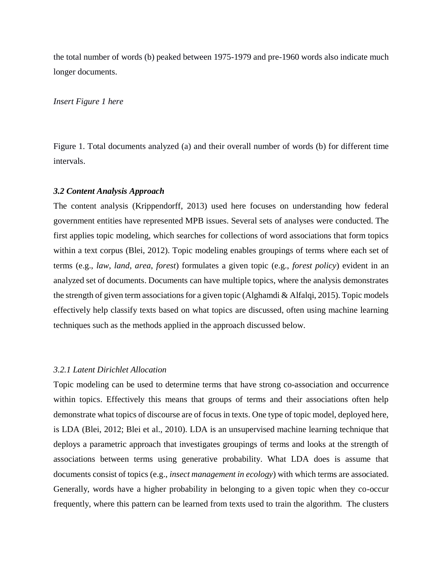the total number of words (b) peaked between 1975-1979 and pre-1960 words also indicate much longer documents.

## *Insert Figure 1 here*

Figure 1. Total documents analyzed (a) and their overall number of words (b) for different time intervals.

## *3.2 Content Analysis Approach*

The content analysis (Krippendorff, 2013) used here focuses on understanding how federal government entities have represented MPB issues. Several sets of analyses were conducted. The first applies topic modeling, which searches for collections of word associations that form topics within a text corpus (Blei, 2012). Topic modeling enables groupings of terms where each set of terms (e.g., *law*, *land*, *area*, *forest*) formulates a given topic (e.g., *forest policy*) evident in an analyzed set of documents. Documents can have multiple topics, where the analysis demonstrates the strength of given term associations for a given topic (Alghamdi & Alfalqi, 2015). Topic models effectively help classify texts based on what topics are discussed, often using machine learning techniques such as the methods applied in the approach discussed below.

## *3.2.1 Latent Dirichlet Allocation*

Topic modeling can be used to determine terms that have strong co-association and occurrence within topics. Effectively this means that groups of terms and their associations often help demonstrate what topics of discourse are of focus in texts. One type of topic model, deployed here, is LDA (Blei, 2012; Blei et al., 2010). LDA is an unsupervised machine learning technique that deploys a parametric approach that investigates groupings of terms and looks at the strength of associations between terms using generative probability. What LDA does is assume that documents consist of topics (e.g., *insect management in ecology*) with which terms are associated. Generally, words have a higher probability in belonging to a given topic when they co-occur frequently, where this pattern can be learned from texts used to train the algorithm. The clusters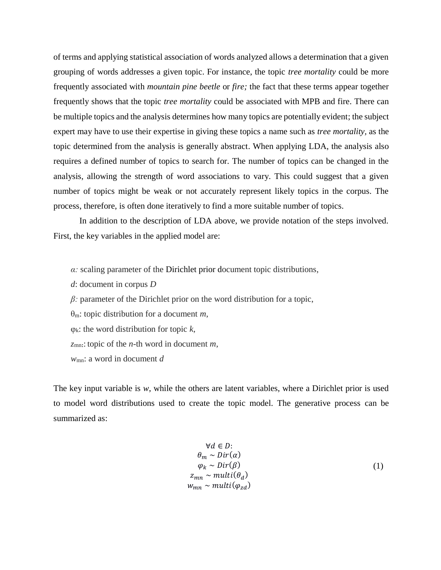of terms and applying statistical association of words analyzed allows a determination that a given grouping of words addresses a given topic. For instance, the topic *tree mortality* could be more frequently associated with *mountain pine beetle* or *fire;* the fact that these terms appear together frequently shows that the topic *tree mortality* could be associated with MPB and fire. There can be multiple topics and the analysis determines how many topics are potentially evident; the subject expert may have to use their expertise in giving these topics a name such as *tree mortality,* as the topic determined from the analysis is generally abstract. When applying LDA, the analysis also requires a defined number of topics to search for. The number of topics can be changed in the analysis, allowing the strength of word associations to vary. This could suggest that a given number of topics might be weak or not accurately represent likely topics in the corpus. The process, therefore, is often done iteratively to find a more suitable number of topics.

In addition to the description of LDA above, we provide notation of the steps involved. First, the key variables in the applied model are:

 *α:* scaling parameter of the Dirichlet prior document topic distributions,

*d*: document in corpus *D*

 *β:* parameter of the Dirichlet prior on the word distribution for a topic,

θm: topic distribution for a document *m*,

φk: the word distribution for topic *k*,

*z*mn**:**: topic of the *n*-th word in document *m*,

 *w*mn: a word in document *d*

The key input variable is *w*, while the others are latent variables, where a Dirichlet prior is used to model word distributions used to create the topic model. The generative process can be summarized as:

$$
\forall d \in D: \n\theta_m \sim Dir(\alpha) \n\varphi_k \sim Dir(\beta) \nz_{mn} \sim multi(\theta_d) \n w_{mn} \sim multi(\varphi_{zd})
$$
\n(1)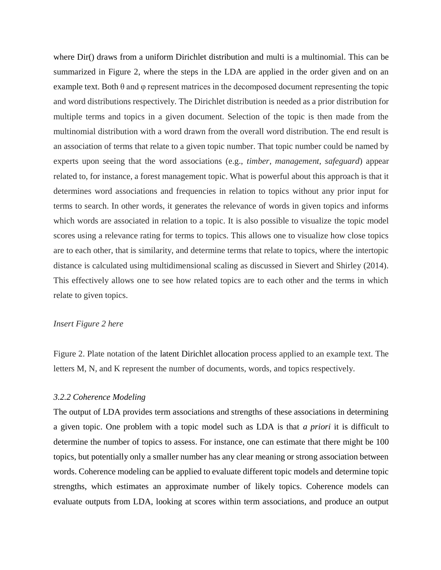where Dir() draws from a uniform Dirichlet distribution and multi is a multinomial. This can be summarized in Figure 2, where the steps in the LDA are applied in the order given and on an example text. Both  $\theta$  and  $\varphi$  represent matrices in the decomposed document representing the topic and word distributions respectively. The Dirichlet distribution is needed as a prior distribution for multiple terms and topics in a given document. Selection of the topic is then made from the multinomial distribution with a word drawn from the overall word distribution. The end result is an association of terms that relate to a given topic number. That topic number could be named by experts upon seeing that the word associations (e.g., *timber*, *management*, *safeguard*) appear related to, for instance, a forest management topic. What is powerful about this approach is that it determines word associations and frequencies in relation to topics without any prior input for terms to search. In other words, it generates the relevance of words in given topics and informs which words are associated in relation to a topic. It is also possible to visualize the topic model scores using a relevance rating for terms to topics. This allows one to visualize how close topics are to each other, that is similarity, and determine terms that relate to topics, where the intertopic distance is calculated using multidimensional scaling as discussed in Sievert and Shirley (2014). This effectively allows one to see how related topics are to each other and the terms in which relate to given topics.

## *Insert Figure 2 here*

Figure 2. Plate notation of the latent Dirichlet allocation process applied to an example text. The letters M, N, and K represent the number of documents, words, and topics respectively.

#### *3.2.2 Coherence Modeling*

The output of LDA provides term associations and strengths of these associations in determining a given topic. One problem with a topic model such as LDA is that *a priori* it is difficult to determine the number of topics to assess. For instance, one can estimate that there might be 100 topics, but potentially only a smaller number has any clear meaning or strong association between words. Coherence modeling can be applied to evaluate different topic models and determine topic strengths, which estimates an approximate number of likely topics. Coherence models can evaluate outputs from LDA, looking at scores within term associations, and produce an output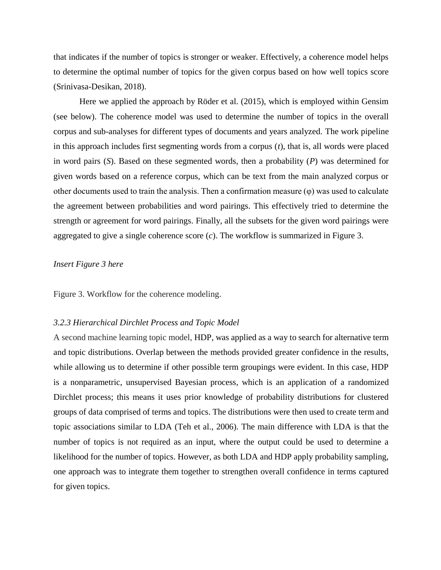that indicates if the number of topics is stronger or weaker. Effectively, a coherence model helps to determine the optimal number of topics for the given corpus based on how well topics score (Srinivasa-Desikan, 2018).

Here we applied the approach by Röder et al. (2015), which is employed within Gensim (see below). The coherence model was used to determine the number of topics in the overall corpus and sub-analyses for different types of documents and years analyzed. The work pipeline in this approach includes first segmenting words from a corpus (*t*), that is, all words were placed in word pairs (*S*). Based on these segmented words, then a probability (*P*) was determined for given words based on a reference corpus, which can be text from the main analyzed corpus or other documents used to train the analysis. Then a confirmation measure  $(\varphi)$  was used to calculate the agreement between probabilities and word pairings. This effectively tried to determine the strength or agreement for word pairings. Finally, all the subsets for the given word pairings were aggregated to give a single coherence score (*c*). The workflow is summarized in Figure 3.

## *Insert Figure 3 here*

Figure 3. Workflow for the coherence modeling.

## *3.2.3 Hierarchical Dirchlet Process and Topic Model*

A second machine learning topic model, HDP, was applied as a way to search for alternative term and topic distributions. Overlap between the methods provided greater confidence in the results, while allowing us to determine if other possible term groupings were evident. In this case, HDP is a nonparametric, unsupervised Bayesian process, which is an application of a randomized Dirchlet process; this means it uses prior knowledge of probability distributions for clustered groups of data comprised of terms and topics. The distributions were then used to create term and topic associations similar to LDA (Teh et al., 2006). The main difference with LDA is that the number of topics is not required as an input, where the output could be used to determine a likelihood for the number of topics. However, as both LDA and HDP apply probability sampling, one approach was to integrate them together to strengthen overall confidence in terms captured for given topics.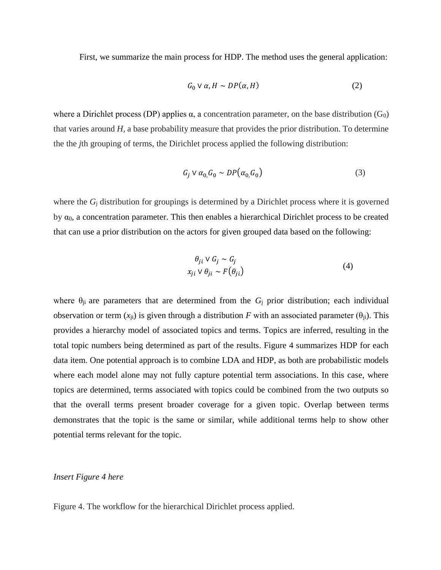First, we summarize the main process for HDP. The method uses the general application:

$$
G_0 \vee \alpha, H \sim DP(\alpha, H) \tag{2}
$$

where a Dirichlet process (DP) applies  $\alpha$ , a concentration parameter, on the base distribution (G<sub>0</sub>) that varies around *H,* a base probability measure that provides the prior distribution. To determine the the *j*th grouping of terms, the Dirichlet process applied the following distribution:

$$
G_j \vee \alpha_0, G_0 \sim DP(\alpha_0, G_0)
$$
 (3)

where the  $G_j$  distribution for groupings is determined by a Dirichlet process where it is governed by  $\alpha_0$ , a concentration parameter. This then enables a hierarchical Dirichlet process to be created that can use a prior distribution on the actors for given grouped data based on the following:

$$
\theta_{ji} \vee G_j \sim G_j
$$
  
\n
$$
x_{ji} \vee \theta_{ji} \sim F(\theta_{ji})
$$
\n(4)

where  $\theta_{ii}$  are parameters that are determined from the  $G_i$  prior distribution; each individual observation or term  $(x_{ii})$  is given through a distribution *F* with an associated parameter  $(\theta_{ii})$ . This provides a hierarchy model of associated topics and terms. Topics are inferred, resulting in the total topic numbers being determined as part of the results. Figure 4 summarizes HDP for each data item. One potential approach is to combine LDA and HDP, as both are probabilistic models where each model alone may not fully capture potential term associations. In this case, where topics are determined, terms associated with topics could be combined from the two outputs so that the overall terms present broader coverage for a given topic. Overlap between terms demonstrates that the topic is the same or similar, while additional terms help to show other potential terms relevant for the topic.

## *Insert Figure 4 here*

Figure 4. The workflow for the hierarchical Dirichlet process applied.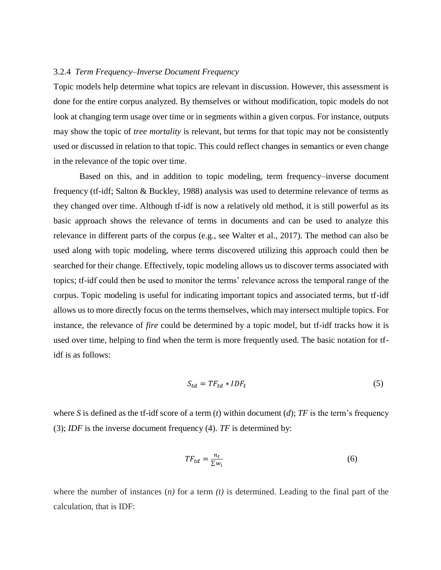#### 3.2.4 *Term Frequency–Inverse Document Frequency*

Topic models help determine what topics are relevant in discussion. However, this assessment is done for the entire corpus analyzed. By themselves or without modification, topic models do not look at changing term usage over time or in segments within a given corpus. For instance, outputs may show the topic of *tree mortality* is relevant, but terms for that topic may not be consistently used or discussed in relation to that topic. This could reflect changes in semantics or even change in the relevance of the topic over time.

Based on this, and in addition to topic modeling, term frequency–inverse document frequency (tf-idf; Salton & Buckley, 1988) analysis was used to determine relevance of terms as they changed over time. Although tf-idf is now a relatively old method, it is still powerful as its basic approach shows the relevance of terms in documents and can be used to analyze this relevance in different parts of the corpus (e.g., see Walter et al., 2017). The method can also be used along with topic modeling, where terms discovered utilizing this approach could then be searched for their change. Effectively, topic modeling allows us to discover terms associated with topics; tf-idf could then be used to monitor the terms' relevance across the temporal range of the corpus. Topic modeling is useful for indicating important topics and associated terms, but tf-idf allows us to more directly focus on the terms themselves, which may intersect multiple topics. For instance, the relevance of *fire* could be determined by a topic model, but tf-idf tracks how it is used over time, helping to find when the term is more frequently used. The basic notation for tfidf is as follows:

$$
S_{td} = TF_{td} * IDF_t \tag{5}
$$

where *S* is defined as the tf-idf score of a term (*t*) within document (*d*); *TF* is the term's frequency (3); *IDF* is the inverse document frequency (4). *TF* is determined by:

$$
TF_{td} = \frac{n_t}{\sum w_i} \tag{6}
$$

where the number of instances  $(n)$  for a term  $(t)$  is determined. Leading to the final part of the calculation, that is IDF: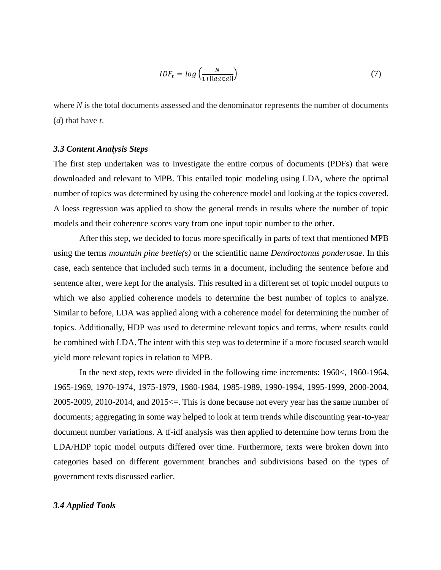$$
IDF_t = log\left(\frac{N}{1 + |(d:t \in d)|}\right) \tag{7}
$$

where *N* is the total documents assessed and the denominator represents the number of documents (*d*) that have *t*.

#### *3.3 Content Analysis Steps*

The first step undertaken was to investigate the entire corpus of documents (PDFs) that were downloaded and relevant to MPB. This entailed topic modeling using LDA, where the optimal number of topics was determined by using the coherence model and looking at the topics covered. A loess regression was applied to show the general trends in results where the number of topic models and their coherence scores vary from one input topic number to the other.

After this step, we decided to focus more specifically in parts of text that mentioned MPB using the terms *mountain pine beetle(s)* or the scientific name *Dendroctonus ponderosae*. In this case, each sentence that included such terms in a document, including the sentence before and sentence after, were kept for the analysis. This resulted in a different set of topic model outputs to which we also applied coherence models to determine the best number of topics to analyze. Similar to before, LDA was applied along with a coherence model for determining the number of topics. Additionally, HDP was used to determine relevant topics and terms, where results could be combined with LDA. The intent with this step was to determine if a more focused search would yield more relevant topics in relation to MPB.

In the next step, texts were divided in the following time increments: 1960<, 1960-1964, 1965-1969, 1970-1974, 1975-1979, 1980-1984, 1985-1989, 1990-1994, 1995-1999, 2000-2004, 2005-2009, 2010-2014, and 2015<=. This is done because not every year has the same number of documents; aggregating in some way helped to look at term trends while discounting year-to-year document number variations. A tf-idf analysis was then applied to determine how terms from the LDA/HDP topic model outputs differed over time. Furthermore, texts were broken down into categories based on different government branches and subdivisions based on the types of government texts discussed earlier.

#### *3.4 Applied Tools*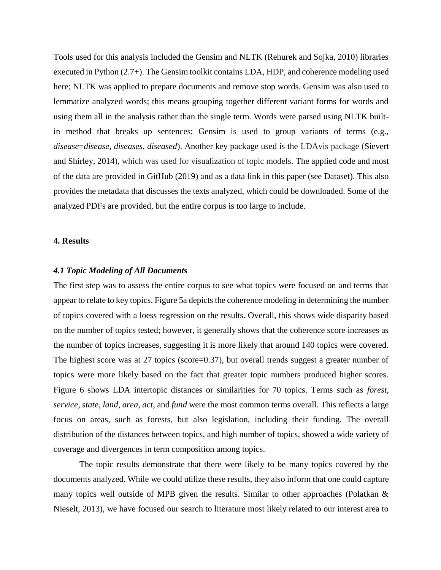Tools used for this analysis included the Gensim and NLTK (Rehurek and Sojka, 2010) libraries executed in Python (2.7+). The Gensim toolkit contains LDA, HDP, and coherence modeling used here; NLTK was applied to prepare documents and remove stop words. Gensim was also used to lemmatize analyzed words; this means grouping together different variant forms for words and using them all in the analysis rather than the single term. Words were parsed using NLTK builtin method that breaks up sentences; Gensim is used to group variants of terms (e.g., *disease*=*disease, diseases, diseased*). Another key package used is the LDAvis package (Sievert and Shirley, 2014), which was used for visualization of topic models. The applied code and most of the data are provided in GitHub (2019) and as a data link in this paper (see Dataset). This also provides the metadata that discusses the texts analyzed, which could be downloaded. Some of the analyzed PDFs are provided, but the entire corpus is too large to include.

## **4. Results**

## *4.1 Topic Modeling of All Documents*

The first step was to assess the entire corpus to see what topics were focused on and terms that appear to relate to key topics. Figure 5a depicts the coherence modeling in determining the number of topics covered with a loess regression on the results. Overall, this shows wide disparity based on the number of topics tested; however, it generally shows that the coherence score increases as the number of topics increases, suggesting it is more likely that around 140 topics were covered. The highest score was at 27 topics (score=0.37), but overall trends suggest a greater number of topics were more likely based on the fact that greater topic numbers produced higher scores. Figure 6 shows LDA intertopic distances or similarities for 70 topics. Terms such as *forest*, *service*, *state*, *land*, *area*, *act*, and *fund* were the most common terms overall. This reflects a large focus on areas, such as forests, but also legislation, including their funding. The overall distribution of the distances between topics, and high number of topics, showed a wide variety of coverage and divergences in term composition among topics.

The topic results demonstrate that there were likely to be many topics covered by the documents analyzed. While we could utilize these results, they also inform that one could capture many topics well outside of MPB given the results. Similar to other approaches (Polatkan & Nieselt, 2013), we have focused our search to literature most likely related to our interest area to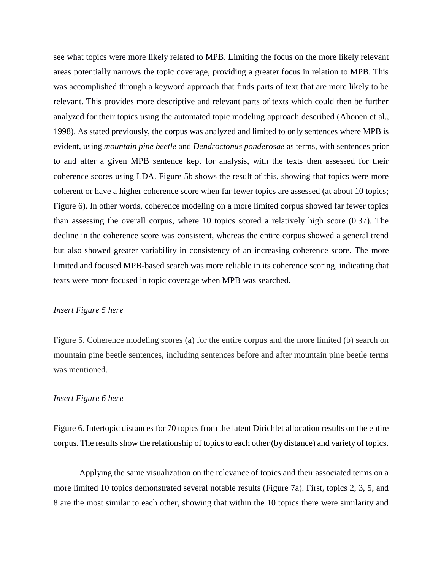see what topics were more likely related to MPB. Limiting the focus on the more likely relevant areas potentially narrows the topic coverage, providing a greater focus in relation to MPB. This was accomplished through a keyword approach that finds parts of text that are more likely to be relevant. This provides more descriptive and relevant parts of texts which could then be further analyzed for their topics using the automated topic modeling approach described (Ahonen et al., 1998). As stated previously, the corpus was analyzed and limited to only sentences where MPB is evident, using *mountain pine beetle* and *Dendroctonus ponderosae* as terms, with sentences prior to and after a given MPB sentence kept for analysis, with the texts then assessed for their coherence scores using LDA. Figure 5b shows the result of this, showing that topics were more coherent or have a higher coherence score when far fewer topics are assessed (at about 10 topics; Figure 6). In other words, coherence modeling on a more limited corpus showed far fewer topics than assessing the overall corpus, where 10 topics scored a relatively high score (0.37). The decline in the coherence score was consistent, whereas the entire corpus showed a general trend but also showed greater variability in consistency of an increasing coherence score. The more limited and focused MPB-based search was more reliable in its coherence scoring, indicating that texts were more focused in topic coverage when MPB was searched.

## *Insert Figure 5 here*

Figure 5. Coherence modeling scores (a) for the entire corpus and the more limited (b) search on mountain pine beetle sentences, including sentences before and after mountain pine beetle terms was mentioned.

#### *Insert Figure 6 here*

Figure 6. Intertopic distances for 70 topics from the latent Dirichlet allocation results on the entire corpus. The results show the relationship of topics to each other (by distance) and variety of topics.

Applying the same visualization on the relevance of topics and their associated terms on a more limited 10 topics demonstrated several notable results (Figure 7a). First, topics 2, 3, 5, and 8 are the most similar to each other, showing that within the 10 topics there were similarity and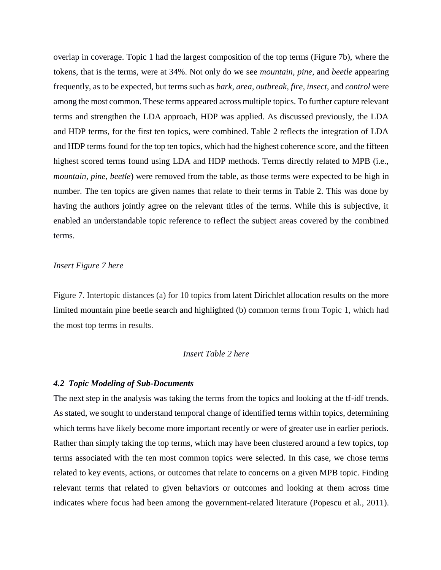overlap in coverage. Topic 1 had the largest composition of the top terms (Figure 7b), where the tokens, that is the terms, were at 34%. Not only do we see *mountain*, *pine*, and *beetle* appearing frequently, as to be expected, but terms such as *bark*, *area*, *outbreak*, *fire*, *insect*, and *control* were among the most common. These terms appeared across multiple topics. To further capture relevant terms and strengthen the LDA approach, HDP was applied. As discussed previously, the LDA and HDP terms, for the first ten topics, were combined. Table 2 reflects the integration of LDA and HDP terms found for the top ten topics, which had the highest coherence score, and the fifteen highest scored terms found using LDA and HDP methods. Terms directly related to MPB (i.e., *mountain*, *pine*, *beetle*) were removed from the table, as those terms were expected to be high in number. The ten topics are given names that relate to their terms in Table 2. This was done by having the authors jointly agree on the relevant titles of the terms. While this is subjective, it enabled an understandable topic reference to reflect the subject areas covered by the combined terms.

## *Insert Figure 7 here*

Figure 7. Intertopic distances (a) for 10 topics from latent Dirichlet allocation results on the more limited mountain pine beetle search and highlighted (b) common terms from Topic 1, which had the most top terms in results.

# *Insert Table 2 here*

#### *4.2**Topic Modeling of Sub-Documents*

The next step in the analysis was taking the terms from the topics and looking at the tf-idf trends. As stated, we sought to understand temporal change of identified terms within topics, determining which terms have likely become more important recently or were of greater use in earlier periods. Rather than simply taking the top terms, which may have been clustered around a few topics, top terms associated with the ten most common topics were selected. In this case, we chose terms related to key events, actions, or outcomes that relate to concerns on a given MPB topic. Finding relevant terms that related to given behaviors or outcomes and looking at them across time indicates where focus had been among the government-related literature (Popescu et al., 2011).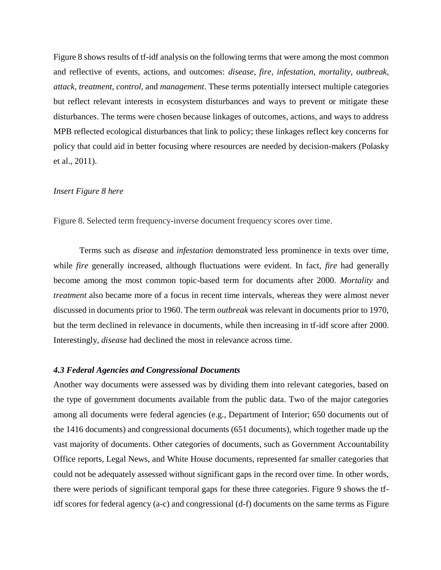Figure 8 shows results of tf-idf analysis on the following terms that were among the most common and reflective of events, actions, and outcomes: *disease*, *fire*, *infestation*, *mortality*, *outbreak*, *attack*, *treatment*, *control*, and *management*. These terms potentially intersect multiple categories but reflect relevant interests in ecosystem disturbances and ways to prevent or mitigate these disturbances. The terms were chosen because linkages of outcomes, actions, and ways to address MPB reflected ecological disturbances that link to policy; these linkages reflect key concerns for policy that could aid in better focusing where resources are needed by decision-makers (Polasky et al., 2011).

#### *Insert Figure 8 here*

Figure 8. Selected term frequency-inverse document frequency scores over time.

Terms such as *disease* and *infestation* demonstrated less prominence in texts over time, while *fire* generally increased, although fluctuations were evident. In fact, *fire* had generally become among the most common topic-based term for documents after 2000. *Mortality* and *treatment* also became more of a focus in recent time intervals, whereas they were almost never discussed in documents prior to 1960. The term *outbreak* was relevant in documents prior to 1970, but the term declined in relevance in documents, while then increasing in tf-idf score after 2000. Interestingly, *disease* had declined the most in relevance across time.

#### *4.3 Federal Agencies and Congressional Documents*

Another way documents were assessed was by dividing them into relevant categories, based on the type of government documents available from the public data. Two of the major categories among all documents were federal agencies (e.g., Department of Interior; 650 documents out of the 1416 documents) and congressional documents (651 documents), which together made up the vast majority of documents. Other categories of documents, such as Government Accountability Office reports, Legal News, and White House documents, represented far smaller categories that could not be adequately assessed without significant gaps in the record over time. In other words, there were periods of significant temporal gaps for these three categories. Figure 9 shows the tfidf scores for federal agency (a-c) and congressional (d-f) documents on the same terms as Figure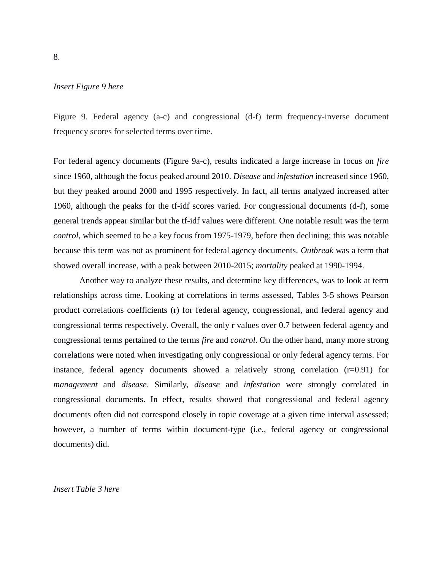## *Insert Figure 9 here*

Figure 9. Federal agency (a-c) and congressional (d-f) term frequency-inverse document frequency scores for selected terms over time.

For federal agency documents (Figure 9a-c), results indicated a large increase in focus on *fire* since 1960, although the focus peaked around 2010. *Disease* and *infestation* increased since 1960, but they peaked around 2000 and 1995 respectively. In fact, all terms analyzed increased after 1960, although the peaks for the tf-idf scores varied. For congressional documents (d-f), some general trends appear similar but the tf-idf values were different. One notable result was the term *control*, which seemed to be a key focus from 1975-1979, before then declining; this was notable because this term was not as prominent for federal agency documents. *Outbreak* was a term that showed overall increase, with a peak between 2010-2015; *mortality* peaked at 1990-1994.

Another way to analyze these results, and determine key differences, was to look at term relationships across time. Looking at correlations in terms assessed, Tables 3-5 shows Pearson product correlations coefficients (r) for federal agency, congressional, and federal agency and congressional terms respectively. Overall, the only r values over 0.7 between federal agency and congressional terms pertained to the terms *fire* and *control*. On the other hand, many more strong correlations were noted when investigating only congressional or only federal agency terms. For instance, federal agency documents showed a relatively strong correlation (r=0.91) for *management* and *disease*. Similarly, *disease* and *infestation* were strongly correlated in congressional documents. In effect, results showed that congressional and federal agency documents often did not correspond closely in topic coverage at a given time interval assessed; however, a number of terms within document-type (i.e., federal agency or congressional documents) did.

*Insert Table 3 here*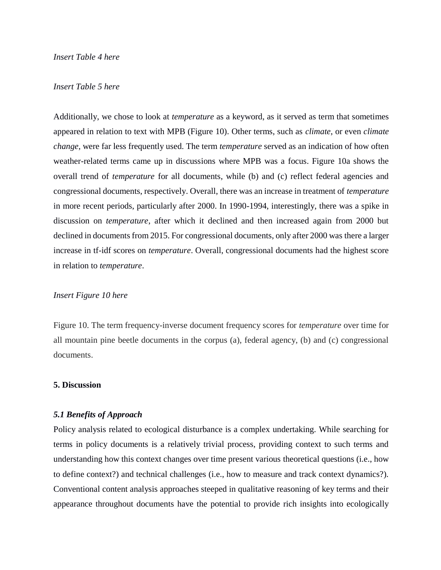#### *Insert Table 4 here*

## *Insert Table 5 here*

Additionally, we chose to look at *temperature* as a keyword, as it served as term that sometimes appeared in relation to text with MPB (Figure 10). Other terms, such as *climate*, or even *climate change*, were far less frequently used. The term *temperature* served as an indication of how often weather-related terms came up in discussions where MPB was a focus. Figure 10a shows the overall trend of *temperature* for all documents, while (b) and (c) reflect federal agencies and congressional documents, respectively. Overall, there was an increase in treatment of *temperature*  in more recent periods, particularly after 2000. In 1990-1994, interestingly, there was a spike in discussion on *temperature*, after which it declined and then increased again from 2000 but declined in documents from 2015. For congressional documents, only after 2000 was there a larger increase in tf-idf scores on *temperature*. Overall, congressional documents had the highest score in relation to *temperature*.

## *Insert Figure 10 here*

Figure 10. The term frequency-inverse document frequency scores for *temperature* over time for all mountain pine beetle documents in the corpus (a), federal agency, (b) and (c) congressional documents.

## **5. Discussion**

#### *5.1 Benefits of Approach*

Policy analysis related to ecological disturbance is a complex undertaking. While searching for terms in policy documents is a relatively trivial process, providing context to such terms and understanding how this context changes over time present various theoretical questions (i.e., how to define context?) and technical challenges (i.e., how to measure and track context dynamics?). Conventional content analysis approaches steeped in qualitative reasoning of key terms and their appearance throughout documents have the potential to provide rich insights into ecologically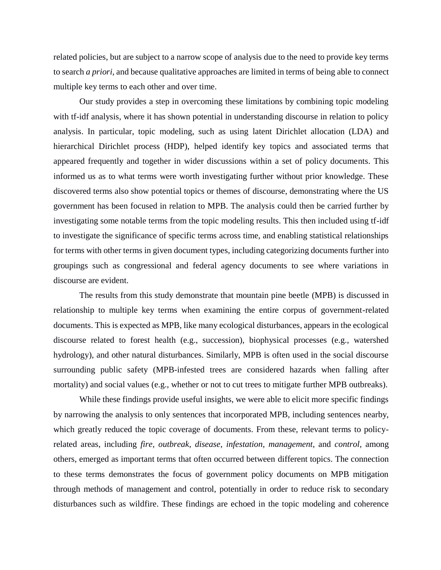related policies, but are subject to a narrow scope of analysis due to the need to provide key terms to search *a priori*, and because qualitative approaches are limited in terms of being able to connect multiple key terms to each other and over time.

Our study provides a step in overcoming these limitations by combining topic modeling with tf-idf analysis, where it has shown potential in understanding discourse in relation to policy analysis. In particular, topic modeling, such as using latent Dirichlet allocation (LDA) and hierarchical Dirichlet process (HDP), helped identify key topics and associated terms that appeared frequently and together in wider discussions within a set of policy documents. This informed us as to what terms were worth investigating further without prior knowledge. These discovered terms also show potential topics or themes of discourse, demonstrating where the US government has been focused in relation to MPB. The analysis could then be carried further by investigating some notable terms from the topic modeling results. This then included using tf-idf to investigate the significance of specific terms across time, and enabling statistical relationships for terms with other terms in given document types, including categorizing documents further into groupings such as congressional and federal agency documents to see where variations in discourse are evident.

The results from this study demonstrate that mountain pine beetle (MPB) is discussed in relationship to multiple key terms when examining the entire corpus of government-related documents. This is expected as MPB, like many ecological disturbances, appears in the ecological discourse related to forest health (e.g., succession), biophysical processes (e.g., watershed hydrology), and other natural disturbances. Similarly, MPB is often used in the social discourse surrounding public safety (MPB-infested trees are considered hazards when falling after mortality) and social values (e.g., whether or not to cut trees to mitigate further MPB outbreaks).

While these findings provide useful insights, we were able to elicit more specific findings by narrowing the analysis to only sentences that incorporated MPB, including sentences nearby, which greatly reduced the topic coverage of documents. From these, relevant terms to policyrelated areas, including *fire*, *outbreak*, *disease*, *infestation*, *management*, and *control*, among others, emerged as important terms that often occurred between different topics. The connection to these terms demonstrates the focus of government policy documents on MPB mitigation through methods of management and control, potentially in order to reduce risk to secondary disturbances such as wildfire. These findings are echoed in the topic modeling and coherence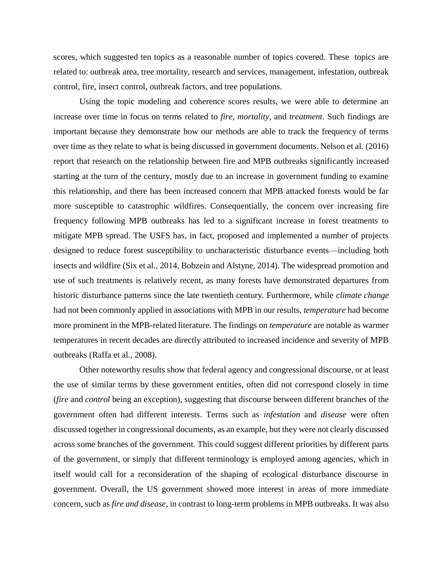scores, which suggested ten topics as a reasonable number of topics covered. These topics are related to: outbreak area, tree mortality, research and services, management, infestation, outbreak control, fire, insect control, outbreak factors, and tree populations.

Using the topic modeling and coherence scores results, we were able to determine an increase over time in focus on terms related to *fire*, *mortality,* and *treatment*. Such findings are important because they demonstrate how our methods are able to track the frequency of terms over time as they relate to what is being discussed in government documents. Nelson et al. (2016) report that research on the relationship between fire and MPB outbreaks significantly increased starting at the turn of the century, mostly due to an increase in government funding to examine this relationship, and there has been increased concern that MPB attacked forests would be far more susceptible to catastrophic wildfires. Consequentially, the concern over increasing fire frequency following MPB outbreaks has led to a significant increase in forest treatments to mitigate MPB spread. The USFS has, in fact, proposed and implemented a number of projects designed to reduce forest susceptibility to uncharacteristic disturbance events—including both insects and wildfire (Six et al., 2014, Bobzein and Alstyne, 2014). The widespread promotion and use of such treatments is relatively recent, as many forests have demonstrated departures from historic disturbance patterns since the late twentieth century. Furthermore, while *climate change* had not been commonly applied in associations with MPB in our results, *temperature* had become more prominent in the MPB-related literature. The findings on *temperature* are notable as warmer temperatures in recent decades are directly attributed to increased incidence and severity of MPB outbreaks (Raffa et al., 2008).

Other noteworthy results show that federal agency and congressional discourse, or at least the use of similar terms by these government entities, often did not correspond closely in time (*fire* and *control* being an exception), suggesting that discourse between different branches of the government often had different interests. Terms such as *infestation* and *disease* were often discussed together in congressional documents, as an example, but they were not clearly discussed across some branches of the government. This could suggest different priorities by different parts of the government, or simply that different terminology is employed among agencies, which in itself would call for a reconsideration of the shaping of ecological disturbance discourse in government. Overall, the US government showed more interest in areas of more immediate concern, such as *fire and disease*, in contrast to long-term problems in MPB outbreaks. It was also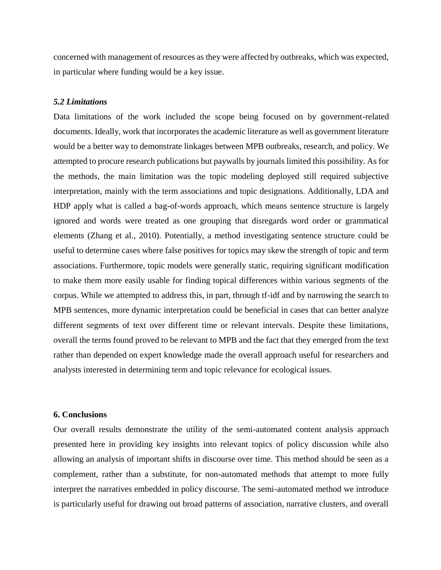concerned with management of resources as they were affected by outbreaks, which was expected, in particular where funding would be a key issue.

#### *5.2 Limitations*

Data limitations of the work included the scope being focused on by government-related documents. Ideally, work that incorporates the academic literature as well as government literature would be a better way to demonstrate linkages between MPB outbreaks, research, and policy. We attempted to procure research publications but paywalls by journals limited this possibility. As for the methods, the main limitation was the topic modeling deployed still required subjective interpretation, mainly with the term associations and topic designations. Additionally, LDA and HDP apply what is called a bag-of-words approach, which means sentence structure is largely ignored and words were treated as one grouping that disregards word order or grammatical elements (Zhang et al., 2010). Potentially, a method investigating sentence structure could be useful to determine cases where false positives for topics may skew the strength of topic and term associations. Furthermore, topic models were generally static, requiring significant modification to make them more easily usable for finding topical differences within various segments of the corpus. While we attempted to address this, in part, through tf-idf and by narrowing the search to MPB sentences, more dynamic interpretation could be beneficial in cases that can better analyze different segments of text over different time or relevant intervals. Despite these limitations, overall the terms found proved to be relevant to MPB and the fact that they emerged from the text rather than depended on expert knowledge made the overall approach useful for researchers and analysts interested in determining term and topic relevance for ecological issues.

## **6. Conclusions**

Our overall results demonstrate the utility of the semi-automated content analysis approach presented here in providing key insights into relevant topics of policy discussion while also allowing an analysis of important shifts in discourse over time. This method should be seen as a complement, rather than a substitute, for non-automated methods that attempt to more fully interpret the narratives embedded in policy discourse. The semi-automated method we introduce is particularly useful for drawing out broad patterns of association, narrative clusters, and overall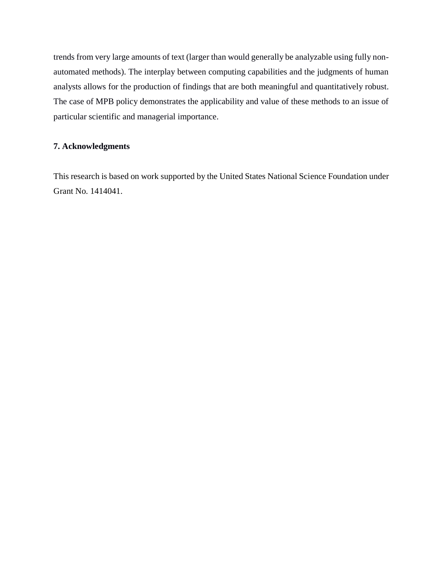trends from very large amounts of text (larger than would generally be analyzable using fully nonautomated methods). The interplay between computing capabilities and the judgments of human analysts allows for the production of findings that are both meaningful and quantitatively robust. The case of MPB policy demonstrates the applicability and value of these methods to an issue of particular scientific and managerial importance.

# **7. Acknowledgments**

This research is based on work supported by the United States National Science Foundation under Grant No. [1414041.](https://www.sciencedirect.com/science/article/pii/S1476945X18300126#gs0001)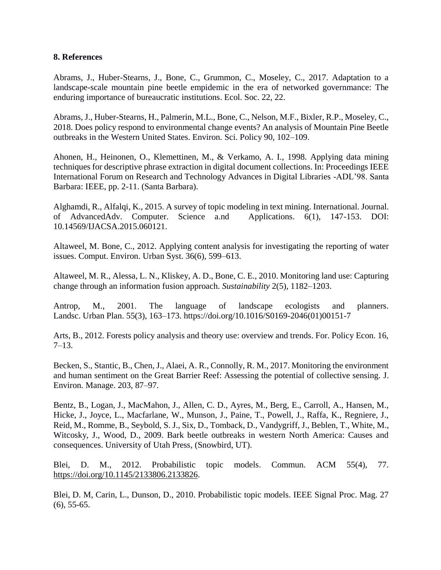# **8. References**

Abrams, J., Huber-Stearns, J., Bone, C., Grummon, C., Moseley, C., 2017. Adaptation to a landscape-scale mountain pine beetle empidemic in the era of networked governmance: The enduring importance of bureaucratic institutions. Ecol. Soc. 22, 22.

Abrams, J., Huber-Stearns, H., Palmerin, M.L., Bone, C., Nelson, M.F., Bixler, R.P., Moseley, C., 2018. Does policy respond to environmental change events? An analysis of Mountain Pine Beetle outbreaks in the Western United States. Environ. Sci. Policy 90, 102–109.

Ahonen, H., Heinonen, O., Klemettinen, M., & Verkamo, A. I., 1998. Applying data mining techniques for descriptive phrase extraction in digital document collections. In: Proceedings IEEE International Forum on Research and Technology Advances in Digital Libraries -ADL'98. Santa Barbara: IEEE, pp. 2-11. (Santa Barbara).

Alghamdi, R., Alfalqi, K., 2015. A survey of topic modeling in text mining. International. Journal. of AdvancedAdv. Computer. Science a.nd Applications. 6(1), 147-153. DOI: 10.14569/IJACSA.2015.060121.

Altaweel, M. Bone, C., 2012. Applying content analysis for investigating the reporting of water issues. Comput. Environ. Urban Syst. 36(6), 599–613.

Altaweel, M. R., Alessa, L. N., Kliskey, A. D., Bone, C. E., 2010. Monitoring land use: Capturing change through an information fusion approach. *Sustainability* 2(5), 1182–1203.

Antrop, M., 2001. The language of landscape ecologists and planners. Landsc. Urban Plan. 55(3), 163–173. https://doi.org/10.1016/S0169-2046(01)00151-7

Arts, B., 2012. Forests policy analysis and theory use: overview and trends. For. Policy Econ. 16, 7–13.

Becken, S., Stantic, B., Chen, J., Alaei, A. R., Connolly, R. M., 2017. Monitoring the environment and human sentiment on the Great Barrier Reef: Assessing the potential of collective sensing. J. Environ. Manage. 203, 87–97.

Bentz, B., Logan, J., MacMahon, J., Allen, C. D., Ayres, M., Berg, E., Carroll, A., Hansen, M., Hicke, J., Joyce, L., Macfarlane, W., Munson, J., Paine, T., Powell, J., Raffa, K., Regniere, J., Reid, M., Romme, B., Seybold, S. J., Six, D., Tomback, D., Vandygriff, J., Beblen, T., White, M., Witcosky, J., Wood, D., 2009. Bark beetle outbreaks in western North America: Causes and consequences. University of Utah Press, (Snowbird, UT).

Blei, D. M., 2012. Probabilistic topic models. Commun. ACM 55(4), 77. https://doi.org/10.1145/2133806.2133826.

Blei, D. M, Carin, L., Dunson, D., 2010. Probabilistic topic models. IEEE Signal Proc. Mag. 27  $(6)$ , 55-65.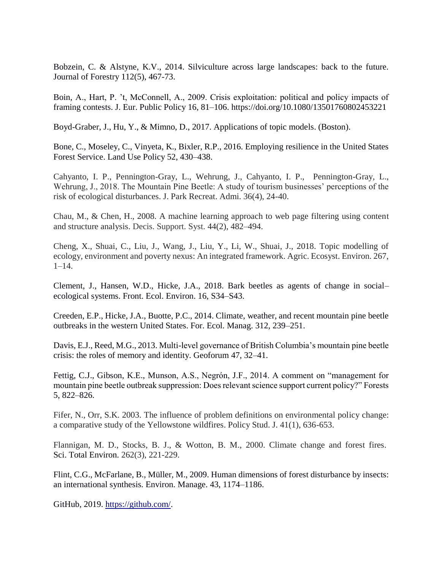Bobzein, C. & Alstyne, K.V., 2014. Silviculture across large landscapes: back to the future. Journal of Forestry 112(5), 467-73.

Boin, A., Hart, P. 't, McConnell, A., 2009. Crisis exploitation: political and policy impacts of framing contests. J. Eur. Public Policy 16, 81–106. https://doi.org/10.1080/13501760802453221

Boyd-Graber, J., Hu, Y., & Mimno, D., 2017. Applications of topic models. (Boston).

Bone, C., Moseley, C., Vinyeta, K., Bixler, R.P., 2016. Employing resilience in the United States Forest Service. Land Use Policy 52, 430–438.

Cahyanto, I. P., Pennington-Gray, L., Wehrung, J., Cahyanto, I. P., Pennington-Gray, L., Wehrung, J., 2018. The Mountain Pine Beetle: A study of tourism businesses' perceptions of the risk of ecological disturbances. J. Park Recreat. Admi. 36(4), 24-40.

Chau, M., & Chen, H., 2008. A machine learning approach to web page filtering using content and structure analysis. Decis. Support. Syst. 44(2), 482–494.

Cheng, X., Shuai, C., Liu, J., Wang, J., Liu, Y., Li, W., Shuai, J., 2018. Topic modelling of ecology, environment and poverty nexus: An integrated framework. Agric. Ecosyst. Environ. 267, 1–14.

Clement, J., Hansen, W.D., Hicke, J.A., 2018. Bark beetles as agents of change in social– ecological systems. Front. Ecol. Environ. 16, S34–S43.

Creeden, E.P., Hicke, J.A., Buotte, P.C., 2014. Climate, weather, and recent mountain pine beetle outbreaks in the western United States. For. Ecol. Manag. 312, 239–251.

Davis, E.J., Reed, M.G., 2013. Multi-level governance of British Columbia's mountain pine beetle crisis: the roles of memory and identity. Geoforum 47, 32–41.

Fettig, C.J., Gibson, K.E., Munson, A.S., Negrón, J.F., 2014. A comment on "management for mountain pine beetle outbreak suppression: Does relevant science support current policy?" Forests 5, 822–826.

Fifer, N., Orr, S.K. 2003. The influence of problem definitions on environmental policy change: a comparative study of the Yellowstone wildfires. Policy Stud. J. 41(1), 636-653.

Flannigan, M. D., Stocks, B. J., & Wotton, B. M., 2000. Climate change and forest fires. Sci. Total Environ. 262(3), 221-229.

Flint, C.G., McFarlane, B., Müller, M., 2009. Human dimensions of forest disturbance by insects: an international synthesis. Environ. Manage. 43, 1174–1186.

GitHub, 2019. [https://github.com/.](https://github.com/)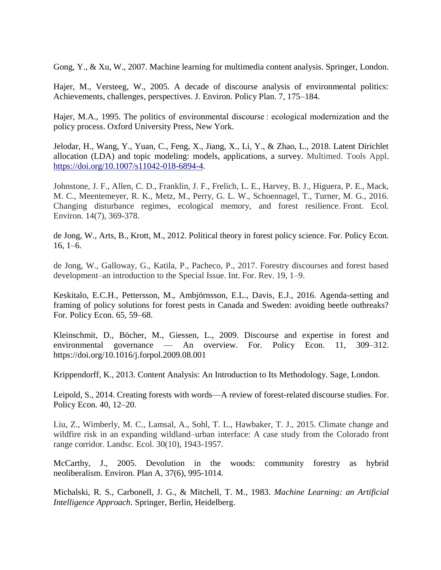Gong, Y., & Xu, W., 2007. Machine learning for multimedia content analysis. Springer, London.

Hajer, M., Versteeg, W., 2005. A decade of discourse analysis of environmental politics: Achievements, challenges, perspectives. J. Environ. Policy Plan. 7, 175–184.

Hajer, M.A., 1995. The politics of environmental discourse : ecological modernization and the policy process. Oxford University Press, New York.

Jelodar, H., Wang, Y., Yuan, C., Feng, X., Jiang, X., Li, Y., & Zhao, L., 2018. Latent Dirichlet allocation (LDA) and topic modeling: models, applications, a survey. Multimed. Tools Appl. [https://doi.org/10.1007/s11042-018-6894-4.](https://doi.org/10.1007/s11042-018-6894-4)

Johnstone, J. F., Allen, C. D., Franklin, J. F., Frelich, L. E., Harvey, B. J., Higuera, P. E., Mack, M. C., Meentemeyer, R. K., Metz, M., Perry, G. L. W., Schoennagel, T., Turner, M. G., 2016. Changing disturbance regimes, ecological memory, and forest resilience. Front. Ecol. Environ. 14(7), 369-378.

de Jong, W., Arts, B., Krott, M., 2012. Political theory in forest policy science. For. Policy Econ. 16, 1–6.

de Jong, W., Galloway, G., Katila, P., Pacheco, P., 2017. Forestry discourses and forest based development–an introduction to the Special Issue. Int. For. Rev. 19, 1–9.

Keskitalo, E.C.H., Pettersson, M., Ambjörnsson, E.L., Davis, E.J., 2016. Agenda-setting and framing of policy solutions for forest pests in Canada and Sweden: avoiding beetle outbreaks? For. Policy Econ. 65, 59–68.

Kleinschmit, D., Böcher, M., Giessen, L., 2009. Discourse and expertise in forest and environmental governance — An overview. For. Policy Econ. 11, 309–312. https://doi.org/10.1016/j.forpol.2009.08.001

Krippendorff, K., 2013. Content Analysis: An Introduction to Its Methodology. Sage, London.

Leipold, S., 2014. Creating forests with words—A review of forest-related discourse studies. For. Policy Econ. 40, 12–20.

Liu, Z., Wimberly, M. C., Lamsal, A., Sohl, T. L., Hawbaker, T. J., 2015. Climate change and wildfire risk in an expanding wildland–urban interface: A case study from the Colorado front range corridor. Landsc. Ecol. 30(10), 1943-1957.

McCarthy, J., 2005. Devolution in the woods: community forestry as hybrid neoliberalism. Environ. Plan A, 37(6), 995-1014.

Michalski, R. S., Carbonell, J. G., & Mitchell, T. M., 1983. *Machine Learning: an Artificial Intelligence Approach*. Springer, Berlin, Heidelberg.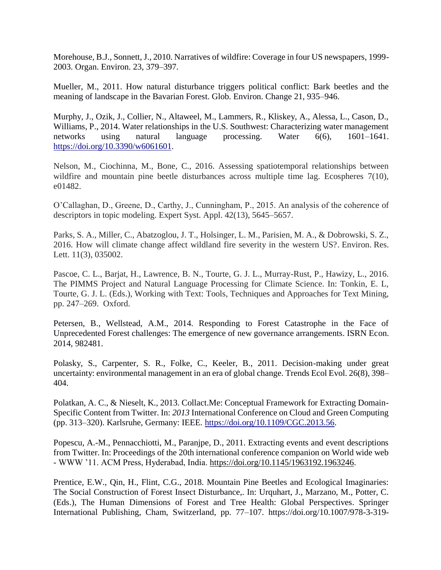Morehouse, B.J., Sonnett, J., 2010. Narratives of wildfire: Coverage in four US newspapers, 1999- 2003. Organ. Environ. 23, 379–397.

Mueller, M., 2011. How natural disturbance triggers political conflict: Bark beetles and the meaning of landscape in the Bavarian Forest. Glob. Environ. Change 21, 935–946.

Murphy, J., Ozik, J., Collier, N., Altaweel, M., Lammers, R., Kliskey, A., Alessa, L., Cason, D., Williams, P., 2014. Water relationships in the U.S. Southwest: Characterizing water management networks using natural language processing. Water 6(6), 1601–1641. [https://doi.org/10.3390/w6061601.](https://doi.org/10.3390/w6061601)

Nelson, M., Ciochinna, M., Bone, C., 2016. Assessing spatiotemporal relationships between wildfire and mountain pine beetle disturbances across multiple time lag. Ecospheres 7(10), e01482.

O'Callaghan, D., Greene, D., Carthy, J., Cunningham, P., 2015. An analysis of the coherence of descriptors in topic modeling. Expert Syst. Appl. 42(13), 5645–5657.

Parks, S. A., Miller, C., Abatzoglou, J. T., Holsinger, L. M., Parisien, M. A., & Dobrowski, S. Z., 2016. How will climate change affect wildland fire severity in the western US?. Environ. Res. Lett. 11(3), 035002.

Pascoe, C. L., Barjat, H., Lawrence, B. N., Tourte, G. J. L., Murray-Rust, P., Hawizy, L., 2016. The PIMMS Project and Natural Language Processing for Climate Science. In: Tonkin, E. L, Tourte, G. J. L. (Eds.), Working with Text: Tools, Techniques and Approaches for Text Mining, pp. 247–269. Oxford.

Petersen, B., Wellstead, A.M., 2014. Responding to Forest Catastrophe in the Face of Unprecedented Forest challenges: The emergence of new governance arrangements. ISRN Econ. 2014, 982481.

Polasky, S., Carpenter, S. R., Folke, C., Keeler, B., 2011. Decision-making under great uncertainty: environmental management in an era of global change. Trends Ecol Evol. 26(8), 398– 404.

Polatkan, A. C., & Nieselt, K., 2013. Collact.Me: Conceptual Framework for Extracting Domain-Specific Content from Twitter. In: *2013* International Conference on Cloud and Green Computing (pp. 313–320). Karlsruhe, Germany: IEEE. [https://doi.org/10.1109/CGC.2013.56.](https://doi.org/10.1109/CGC.2013.56)

Popescu, A.-M., Pennacchiotti, M., Paranjpe, D., 2011. Extracting events and event descriptions from Twitter. In: Proceedings of the 20th international conference companion on World wide web - WWW '11. ACM Press, Hyderabad, India. [https://doi.org/10.1145/1963192.1963246.](https://doi.org/10.1145/1963192.1963246)

Prentice, E.W., Qin, H., Flint, C.G., 2018. Mountain Pine Beetles and Ecological Imaginaries: The Social Construction of Forest Insect Disturbance,. In: Urquhart, J., Marzano, M., Potter, C. (Eds.), The Human Dimensions of Forest and Tree Health: Global Perspectives. Springer International Publishing, Cham, Switzerland, pp. 77–107. https://doi.org/10.1007/978-3-319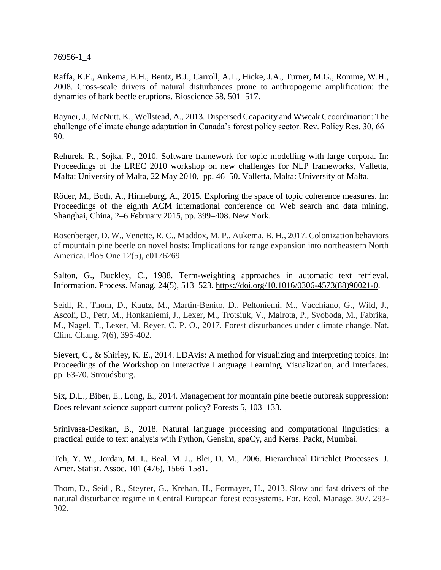76956-1\_4

Raffa, K.F., Aukema, B.H., Bentz, B.J., Carroll, A.L., Hicke, J.A., Turner, M.G., Romme, W.H., 2008. Cross-scale drivers of natural disturbances prone to anthropogenic amplification: the dynamics of bark beetle eruptions. Bioscience 58, 501–517.

Rayner, J., McNutt, K., Wellstead, A., 2013. Dispersed Ccapacity and Wweak Ccoordination: The challenge of climate change adaptation in Canada's forest policy sector. Rev. Policy Res. 30, 66– 90.

Rehurek, R., Sojka, P., 2010. Software framework for topic modelling with large corpora. In: Proceedings of the LREC 2010 workshop on new challenges for NLP frameworks, Valletta, Malta: University of Malta, 22 May 2010, pp. 46–50. Valletta, Malta: University of Malta.

Röder, M., Both, A., Hinneburg, A., 2015. Exploring the space of topic coherence measures. In: Proceedings of the eighth ACM international conference on Web search and data mining, Shanghai, China, 2–6 February 2015, pp. 399–408. New York.

Rosenberger, D. W., Venette, R. C., Maddox, M. P., Aukema, B. H., 2017. Colonization behaviors of mountain pine beetle on novel hosts: Implications for range expansion into northeastern North America. PloS One 12(5), e0176269.

Salton, G., Buckley, C., 1988. Term-weighting approaches in automatic text retrieval. Information. Process. Manag. 24(5), 513–523. [https://doi.org/10.1016/0306-4573\(88\)90021-0.](https://doi.org/10.1016/0306-4573(88)90021-0)

Seidl, R., Thom, D., Kautz, M., Martin-Benito, D., Peltoniemi, M., Vacchiano, G., Wild, J., Ascoli, D., Petr, M., Honkaniemi, J., Lexer, M., Trotsiuk, V., Mairota, P., Svoboda, M., Fabrika, M., Nagel, T., Lexer, M. Reyer, C. P. O., 2017. Forest disturbances under climate change. Nat. Clim. Chang. 7(6), 395-402.

Sievert, C., & Shirley, K. E., 2014. LDAvis: A method for visualizing and interpreting topics. In: Proceedings of the Workshop on Interactive Language Learning, Visualization, and Interfaces. pp. 63-70. Stroudsburg.

Six, D.L., Biber, E., Long, E., 2014. Management for mountain pine beetle outbreak suppression: Does relevant science support current policy? Forests 5, 103–133.

Srinivasa-Desikan, B., 2018. Natural language processing and computational linguistics: a practical guide to text analysis with Python, Gensim, spaCy, and Keras. Packt, Mumbai.

Teh, Y. W., Jordan, M. I., Beal, M. J., Blei, D. M., 2006. Hierarchical Dirichlet Processes. J. Amer. Statist. Assoc. 101 (476), 1566–1581.

Thom, D., Seidl, R., Steyrer, G., Krehan, H., Formayer, H., 2013. Slow and fast drivers of the natural disturbance regime in Central European forest ecosystems. For. Ecol. Manage. 307, 293- 302.